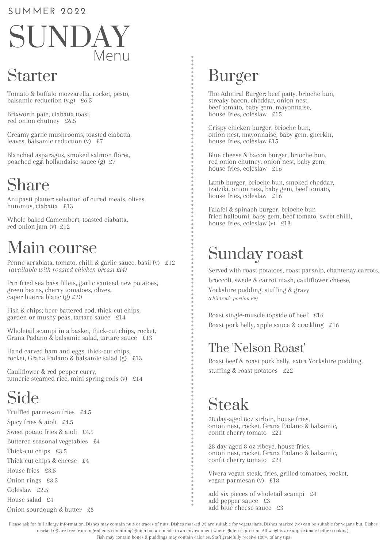#### **SUMMER 202 2**

# SUNDAY Menu

#### Starter

Tomato & buffalo mozzarella, rocket, pesto, balsamic reduction  $(v,g)$  £6.5

Brixworth pate, ciabatta toast, red onion chutney £6.5

Creamy garlic mushrooms, toasted ciabatta, leaves, balsamic reduction (v) £7

Blanched asparagus, smoked salmon floret, poached egg, hollandaise sauce (g) £7

## Share

Antipasti platter: selection of cured meats, olives, hummus, ciabatta £13

Whole baked Camembert, toasted ciabatta, red onion jam (v) £12

### Main course

Penne arrabiata, tomato, chilli & garlic sauce, basil (v) £12 *(available with roasted chicken breast £14)*

Pan fried sea bass fillets, garlic sauteed new potatoes, green beans, cherry tomatoes, olives, caper buerre blanc (g) £20

Fish & chips; beer battered cod, thick-cut chips, garden or mushy peas, tartare sauce £14

Wholetail scampi in a basket, thick-cut chips, rocket, Grana Padano  $\dot{\&}$  balsamic salad, tartare sauce £13

Hand carved ham and eggs, thick-cut chips, rocket, Grana Padano & balsamic salad (g) £13

Cauliflower & red pepper curry, tumeric steamed rice, mini spring rolls (v) £14

## Side

Truffled parmesan fries £4.5 Spicy fries & aioli £4.5 Sweet potato fries & aioli £4.5 Buttered seasonal vegetables £4 Thick-cut chips £3.5 Thick-cut chips & cheese £4 House fries £3.5 Onion rings £3.5 Coleslaw £2.5 House salad £4 Onion sourdough & butter £3

#### Burger

The Admiral Burger: beef patty, brioche bun, streaky bacon, cheddar, onion nest, beef tomato, baby gem, mayonnaise, house fries, coleslaw £15

Crispy chicken burger, brioche bun, onion nest, mayonnaise, baby gem, gherkin, house fries, coleslaw £15

Blue cheese & bacon burger, brioche bun, red onion chutney, onion nest, baby gem, house fries, coleslaw £16

Lamb burger, brioche bun, smoked cheddar, tzatziki, onion nest, baby gem, beef tomato, house fries, coleslaw £16

Falafel & spinach burger, brioche bun fried halloumi, baby gem, beef tomato, sweet chilli, house fries, coleslaw (v) £13

### Sunday roast

Served with roast potatoes, roast parsnip, chantenay carrots, broccoli, swede & carrot mash, cauliflower cheese, Yorkshire pudding, stuffing & gravy *(children's portion £9)*

Roast single-muscle topside of beef £16 Roast pork belly, apple sauce & crackling £16

#### The 'Nelson Roast'

Roast beef & roast pork belly, extra Yorkshire pudding, stuffing & roast potatoes £22

## Steak

28 day-aged 8oz sirloin, house fries, onion nest, rocket, Grana Padano & balsamic, confit cherry tomato £21

28 day-aged 8 oz ribeye, house fries, onion nest, rocket, Grana Padano & balsamic, confit cherry tomato £24

Vivera vegan steak, fries, grilled tomatoes, rocket, vegan parmesan (v) £18

add six pieces of wholetail scampi £4 add pepper sauce £3 add blue cheese sauce £3

Please ask for full allergy information. Dishes may contain nuts or traces of nuts. Dishes marked (v) are suitable for vegetarians. Dishes marked (ve) can be suitable for vegans but. Dishes marked (g) are free from ingredients containing gluten but are made in an environment where gluten is present. All weights are approximate before cooking. Fish may contain bones & puddings may contain calories. Staff gratefully receive 100% of any tips